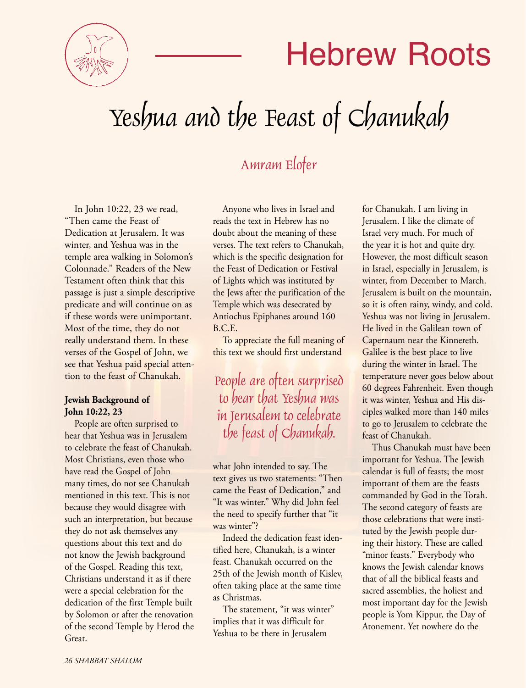

## Hebrew Roots

# Yeshua and the Feast of Chanukah

### Amram Elofer

In John 10:22, 23 we read, "Then came the Feast of Dedication at Jerusalem. It was winter, and Yeshua was in the temple area walking in Solomon's Colonnade." Readers of the New Testament often think that this passage is just a simple descriptive predicate and will continue on as if these words were unimportant. Most of the time, they do not really understand them. In these verses of the Gospel of John, we see that Yeshua paid special attention to the feast of Chanukah.

#### **Jewish Background of John 10:22, 23**

People are often surprised to hear that Yeshua was in Jerusalem to celebrate the feast of Chanukah. Most Christians, even those who have read the Gospel of John many times, do not see Chanukah mentioned in this text. This is not because they would disagree with such an interpretation, but because they do not ask themselves any questions about this text and do not know the Jewish background of the Gospel. Reading this text, Christians understand it as if there were a special celebration for the dedication of the first Temple built by Solomon or after the renovation of the second Temple by Herod the Great.

Anyone who lives in Israel and reads the text in Hebrew has no doubt about the meaning of these verses. The text refers to Chanukah, which is the specific designation for the Feast of Dedication or Festival of Lights which was instituted by the Jews after the purification of the Temple which was desecrated by Antiochus Epiphanes around 160 B.C.E.

To appreciate the full meaning of this text we should first understand

People are often surprised to hear that Yeshua was in Jerusalem to celebrate the feast of Chanukah.

what John intended to say. The text gives us two statements: "Then came the Feast of Dedication," and "It was winter." Why did John feel the need to specify further that "it was winter"?

Indeed the dedication feast identified here, Chanukah, is a winter feast. Chanukah occurred on the 25th of the Jewish month of Kislev, often taking place at the same time as Christmas.

The statement, "it was winter" implies that it was difficult for Yeshua to be there in Jerusalem

for Chanukah. I am living in Jerusalem. I like the climate of Israel very much. For much of the year it is hot and quite dry. However, the most difficult season in Israel, especially in Jerusalem, is winter, from December to March. Jerusalem is built on the mountain, so it is often rainy, windy, and cold. Yeshua was not living in Jerusalem. He lived in the Galilean town of Capernaum near the Kinnereth. Galilee is the best place to live during the winter in Israel. The temperature never goes below about 60 degrees Fahrenheit. Even though it was winter, Yeshua and His disciples walked more than 140 miles to go to Jerusalem to celebrate the feast of Chanukah.

Thus Chanukah must have been important for Yeshua. The Jewish calendar is full of feasts; the most important of them are the feasts commanded by God in the Torah. The second category of feasts are those celebrations that were instituted by the Jewish people during their history. These are called "minor feasts." Everybody who knows the Jewish calendar knows that of all the biblical feasts and sacred assemblies, the holiest and most important day for the Jewish people is Yom Kippur, the Day of Atonement. Yet nowhere do the